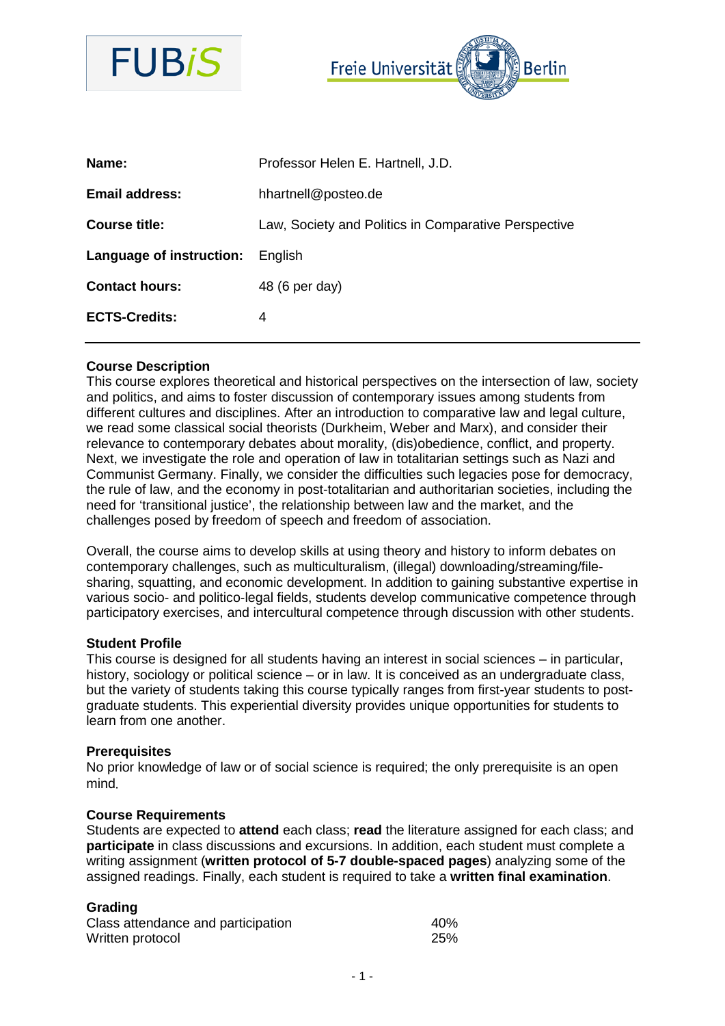



| Name:                    | Professor Helen E. Hartnell, J.D.                    |
|--------------------------|------------------------------------------------------|
| <b>Email address:</b>    | hhartnell@posteo.de                                  |
| Course title:            | Law, Society and Politics in Comparative Perspective |
| Language of instruction: | <b>English</b>                                       |
| <b>Contact hours:</b>    | 48 (6 per day)                                       |
| <b>ECTS-Credits:</b>     | 4                                                    |
|                          |                                                      |

## **Course Description**

This course explores theoretical and historical perspectives on the intersection of law, society and politics, and aims to foster discussion of contemporary issues among students from different cultures and disciplines. After an introduction to comparative law and legal culture, we read some classical social theorists (Durkheim, Weber and Marx), and consider their relevance to contemporary debates about morality, (dis)obedience, conflict, and property. Next, we investigate the role and operation of law in totalitarian settings such as Nazi and Communist Germany. Finally, we consider the difficulties such legacies pose for democracy, the rule of law, and the economy in post-totalitarian and authoritarian societies, including the need for 'transitional justice', the relationship between law and the market, and the challenges posed by freedom of speech and freedom of association.

Overall, the course aims to develop skills at using theory and history to inform debates on contemporary challenges, such as multiculturalism, (illegal) downloading/streaming/filesharing, squatting, and economic development. In addition to gaining substantive expertise in various socio- and politico-legal fields, students develop communicative competence through participatory exercises, and intercultural competence through discussion with other students.

#### **Student Profile**

This course is designed for all students having an interest in social sciences – in particular, history, sociology or political science – or in law. It is conceived as an undergraduate class, but the variety of students taking this course typically ranges from first-year students to postgraduate students. This experiential diversity provides unique opportunities for students to learn from one another.

#### **Prerequisites**

No prior knowledge of law or of social science is required; the only prerequisite is an open mind.

#### **Course Requirements**

Students are expected to **attend** each class; **read** the literature assigned for each class; and **participate** in class discussions and excursions. In addition, each student must complete a writing assignment (**written protocol of 5-7 double-spaced pages**) analyzing some of the assigned readings. Finally, each student is required to take a **written final examination**.

## **Grading**

| Class attendance and participation | 40%        |
|------------------------------------|------------|
| Written protocol                   | <b>25%</b> |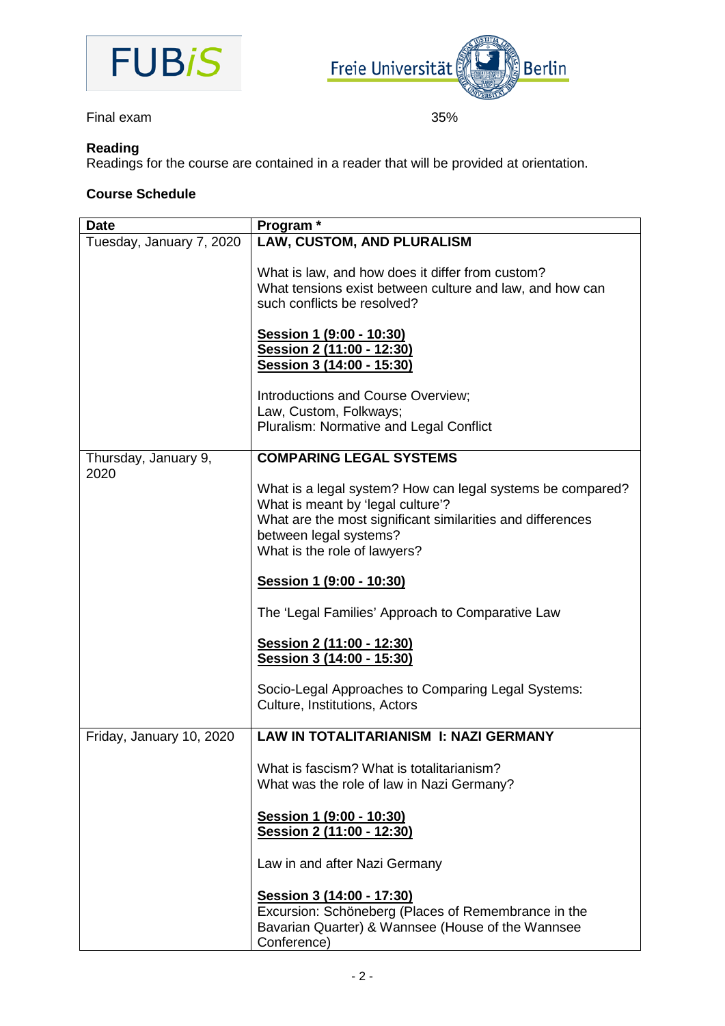



Final exam 35%

# **Reading**

Readings for the course are contained in a reader that will be provided at orientation.

## **Course Schedule**

| <b>Date</b>              | Program <sup>*</sup>                                       |
|--------------------------|------------------------------------------------------------|
| Tuesday, January 7, 2020 | LAW, CUSTOM, AND PLURALISM                                 |
|                          | What is law, and how does it differ from custom?           |
|                          | What tensions exist between culture and law, and how can   |
|                          | such conflicts be resolved?                                |
|                          |                                                            |
|                          | <u>Session 1 (9:00 - 10:30)</u>                            |
|                          | Session 2 (11:00 - 12:30)                                  |
|                          | Session 3 (14:00 - 15:30)                                  |
|                          | Introductions and Course Overview;                         |
|                          | Law, Custom, Folkways;                                     |
|                          | Pluralism: Normative and Legal Conflict                    |
| Thursday, January 9,     | <b>COMPARING LEGAL SYSTEMS</b>                             |
| 2020                     |                                                            |
|                          | What is a legal system? How can legal systems be compared? |
|                          | What is meant by 'legal culture'?                          |
|                          | What are the most significant similarities and differences |
|                          | between legal systems?                                     |
|                          | What is the role of lawyers?                               |
|                          |                                                            |
|                          | Session 1 (9:00 - 10:30)                                   |
|                          | The 'Legal Families' Approach to Comparative Law           |
|                          | <u>Session 2 (11:00 - 12:30)</u>                           |
|                          | Session 3 (14:00 - 15:30)                                  |
|                          |                                                            |
|                          | Socio-Legal Approaches to Comparing Legal Systems:         |
|                          | Culture, Institutions, Actors                              |
|                          |                                                            |
| Friday, January 10, 2020 | <b>LAW IN TOTALITARIANISM I: NAZI GERMANY</b>              |
|                          | What is fascism? What is totalitarianism?                  |
|                          |                                                            |
|                          | What was the role of law in Nazi Germany?                  |
|                          | Session 1 (9:00 - 10:30)                                   |
|                          | Session 2 (11:00 - 12:30)                                  |
|                          |                                                            |
|                          | Law in and after Nazi Germany                              |
|                          | <u>Session 3 (14:00 - 17:30)</u>                           |
|                          | Excursion: Schöneberg (Places of Remembrance in the        |
|                          | Bavarian Quarter) & Wannsee (House of the Wannsee          |
|                          | Conference)                                                |
|                          |                                                            |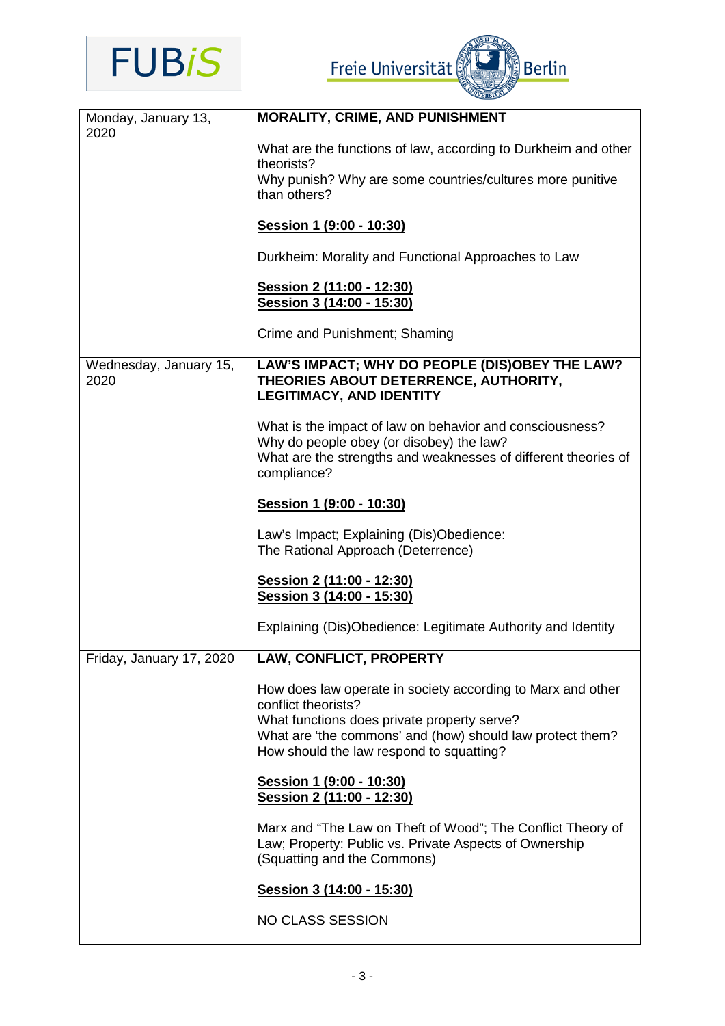

Freie Universität

| Monday, January 13,<br>2020    | <b>MORALITY, CRIME, AND PUNISHMENT</b>                                                                                                                                                                                                     |
|--------------------------------|--------------------------------------------------------------------------------------------------------------------------------------------------------------------------------------------------------------------------------------------|
|                                | What are the functions of law, according to Durkheim and other<br>theorists?                                                                                                                                                               |
|                                | Why punish? Why are some countries/cultures more punitive<br>than others?                                                                                                                                                                  |
|                                | Session 1 (9:00 - 10:30)                                                                                                                                                                                                                   |
|                                | Durkheim: Morality and Functional Approaches to Law                                                                                                                                                                                        |
|                                | Session 2 (11:00 - 12:30)<br>Session 3 (14:00 - 15:30)                                                                                                                                                                                     |
|                                | Crime and Punishment; Shaming                                                                                                                                                                                                              |
| Wednesday, January 15,<br>2020 | LAW'S IMPACT; WHY DO PEOPLE (DIS)OBEY THE LAW?<br>THEORIES ABOUT DETERRENCE, AUTHORITY,<br><b>LEGITIMACY, AND IDENTITY</b>                                                                                                                 |
|                                | What is the impact of law on behavior and consciousness?<br>Why do people obey (or disobey) the law?<br>What are the strengths and weaknesses of different theories of<br>compliance?                                                      |
|                                | Session 1 (9:00 - 10:30)                                                                                                                                                                                                                   |
|                                | Law's Impact; Explaining (Dis)Obedience:<br>The Rational Approach (Deterrence)                                                                                                                                                             |
|                                | Session 2 (11:00 - 12:30)<br>Session 3 (14:00 - 15:30)                                                                                                                                                                                     |
|                                | Explaining (Dis)Obedience: Legitimate Authority and Identity                                                                                                                                                                               |
| Friday, January 17, 2020       | <b>LAW, CONFLICT, PROPERTY</b>                                                                                                                                                                                                             |
|                                | How does law operate in society according to Marx and other<br>conflict theorists?<br>What functions does private property serve?<br>What are 'the commons' and (how) should law protect them?<br>How should the law respond to squatting? |
|                                | Session 1 (9:00 - 10:30)<br>Session 2 (11:00 - 12:30)                                                                                                                                                                                      |
|                                | Marx and "The Law on Theft of Wood"; The Conflict Theory of<br>Law; Property: Public vs. Private Aspects of Ownership<br>(Squatting and the Commons)                                                                                       |
|                                | Session 3 (14:00 - 15:30)                                                                                                                                                                                                                  |
|                                | NO CLASS SESSION                                                                                                                                                                                                                           |